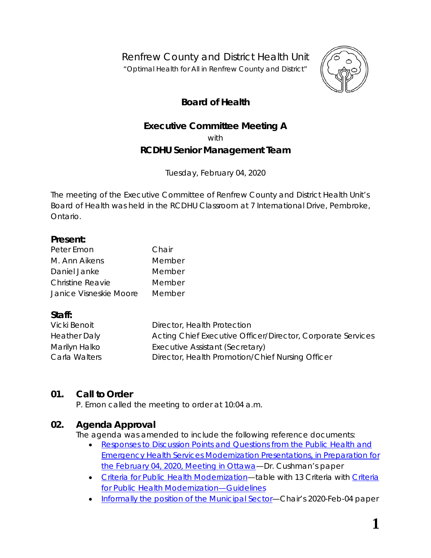Renfrew County and District Health Unit *"Optimal Health for All in Renfrew County and District"*



# **Board of Health**

# **Executive Committee Meeting A** with **RCDHU Senior Management Team**

Tuesday, February 04, 2020

The meeting of the Executive Committee of Renfrew County and District Health Unit's Board of Health was held in the RCDHU Classroom at 7 International Drive, Pembroke, Ontario.

#### **Present:**

| Peter Emon              | Chair  |
|-------------------------|--------|
| M. Ann Aikens           | Member |
| Daniel Janke            | Member |
| <b>Christine Reavie</b> | Member |
| Janice Visneskie Moore  | Member |

### **Staff:**

| Vicki Benoit        | Director, Health Protection                                 |
|---------------------|-------------------------------------------------------------|
| <b>Heather Daly</b> | Acting Chief Executive Officer/Director, Corporate Services |
| Marilyn Halko       | Executive Assistant (Secretary)                             |
| Carla Walters       | Director, Health Promotion/Chief Nursing Officer            |

# **01. Call to Order**

P. Emon called the meeting to order at 10:04 a.m.

### **02. Agenda Approval**

The agenda was amended to include the following reference documents:

- *[Responses to Discussion Points and Questions from the Public Health and](http://portal.rcdhu.com/board/wp-content/uploads/2020/01/RCDHU-Responses-to-Discussion-Points-and-Questions-from-the-Public-Health-and-Emergency-Health-Services-Modernization-Presentations-2020-Jan-23.pdf)  [Emergency Health Services Modernization Presentations, in Preparation for](http://portal.rcdhu.com/board/wp-content/uploads/2020/01/RCDHU-Responses-to-Discussion-Points-and-Questions-from-the-Public-Health-and-Emergency-Health-Services-Modernization-Presentations-2020-Jan-23.pdf)  [the February 04, 2020, Meeting in Ottawa](http://portal.rcdhu.com/board/wp-content/uploads/2020/01/RCDHU-Responses-to-Discussion-Points-and-Questions-from-the-Public-Health-and-Emergency-Health-Services-Modernization-Presentations-2020-Jan-23.pdf)*—Dr. Cushman's paper
- *Criteria [for Public Health Modernization](http://portal.rcdhu.com/board/wp-content/uploads/2020/01/Excel-Spreadsheet-Criteria-for-Public-Health-Modernization-2019-Sep-23.pdf)*—table with 13 Criteria with *[Criteria](http://portal.rcdhu.com/board/wp-content/uploads/2020/02/Criteria-for-Public-Health-Modernization-2019-Oct-04-Guidelines.pdf)  [for Public Health Modernization](http://portal.rcdhu.com/board/wp-content/uploads/2020/02/Criteria-for-Public-Health-Modernization-2019-Oct-04-Guidelines.pdf)*—Guidelines
- *[Informally the position of the Municipal Sector](http://portal.rcdhu.com/board/wp-content/uploads/2020/02/AMO-Municipal-Sector-PH-Feb-04-2020.pdf)*—Chair's 2020-Feb-04 paper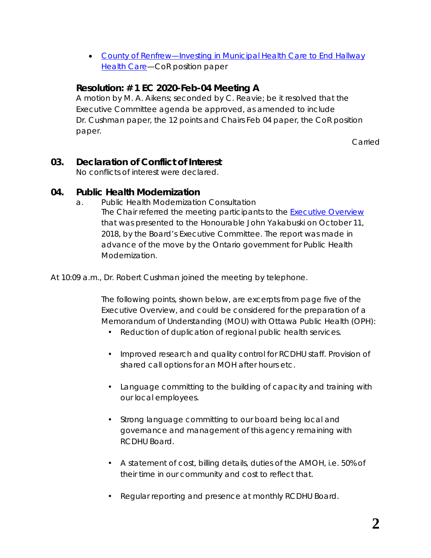• *[County of Renfrew—Investing in Municipal Health Care to End Hallway](http://portal.rcdhu.com/board/wp-content/uploads/2020/01/Investing-in-Municipal-Health-Care-to-End-Hallway-Health-Care.pdf)  [Health Care](http://portal.rcdhu.com/board/wp-content/uploads/2020/01/Investing-in-Municipal-Health-Care-to-End-Hallway-Health-Care.pdf)*—CoR position paper

# **Resolution: # 1 EC 2020-Feb-04 Meeting A**

A motion by M. A. Aikens; seconded by C. Reavie; be it resolved that the Executive Committee agenda be approved, as amended to include Dr. Cushman paper, the 12 points and Chairs Feb 04 paper, the CoR position paper.

Carried

## **03. Declaration of Conflict of Interest**

No conflicts of interest were declared.

#### **04. Public Health Modernization**

a. Public Health Modernization Consultation The Chair referred the meeting participants to the *[Executive Overview](http://portal.rcdhu.com/board/wp-content/uploads/2018/10/Executive-Overview-for-the-Honourable-John-Yakabuski.pdf)* that was presented to the Honourable John Yakabuski on October 11, 2018, by the Board's Executive Committee. The report was made in advance of the move by the Ontario government for Public Health Modernization.

At 10:09 a.m., Dr. Robert Cushman joined the meeting by telephone.

The following points, shown below, are excerpts from page five of the *Executive Overview*, and could be considered for the preparation of a *Memorandum of Understanding (MOU) with Ottawa Public Health (OPH)*:

- Reduction of duplication of regional public health services.
- Improved research and quality control for RCDHU staff. Provision of shared call options for an MOH after hours etc.
- Language committing to the building of capacity and training with our local employees.
- Strong language committing to our board being local and governance and management of this agency remaining with RCDHU Board.
- A statement of cost, billing details, duties of the AMOH, i.e. 50% of their time in our community and cost to reflect that.
- Regular reporting and presence at monthly RCDHU Board.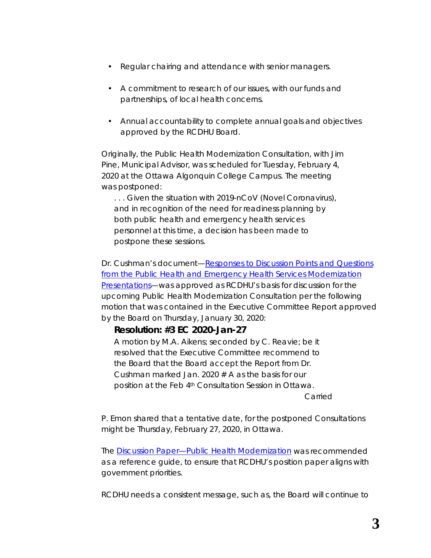- Regular chairing and attendance with senior managers.
- A commitment to research of our issues, with our funds and partnerships, of local health concerns.
- Annual accountability to complete annual goals and objectives approved by the RCDHU Board.

Originally, the Public Health Modernization Consultation, with Jim Pine, Municipal Advisor, was scheduled for Tuesday, February 4, 2020 at the Ottawa Algonquin College Campus. The meeting was postponed:

*. . . Given the situation with 2019-nCoV (Novel Coronavirus), and in recognition of the need for readiness planning by both public health and emergency health services personnel at this time, a decision has been made to postpone these sessions.*

Dr. Cushman's document—*[Responses to Discussion Points and Questions](http://portal.rcdhu.com/board/wp-content/uploads/2020/01/RCDHU-Responses-to-Discussion-Points-and-Questions-from-the-Public-Health-and-Emergency-Health-Services-Modernization-Presentations-2020-Jan-23.pdf)  [from the Public Health and Emergency Health Services Modernization](http://portal.rcdhu.com/board/wp-content/uploads/2020/01/RCDHU-Responses-to-Discussion-Points-and-Questions-from-the-Public-Health-and-Emergency-Health-Services-Modernization-Presentations-2020-Jan-23.pdf)  [Presentations](http://portal.rcdhu.com/board/wp-content/uploads/2020/01/RCDHU-Responses-to-Discussion-Points-and-Questions-from-the-Public-Health-and-Emergency-Health-Services-Modernization-Presentations-2020-Jan-23.pdf)*—was approved as RCDHU's basis for discussion for the upcoming Public Health Modernization Consultation per the following motion that was contained in the Executive Committee Report approved by the Board on Thursday, January 30, 2020:

### *Resolution: #3 EC 2020-Jan-27*

*A motion by M.A. Aikens; seconded by C. Reavie; be it resolved that the Executive Committee recommend to the Board that the Board accept the Report from Dr. Cushman marked Jan. 2020 # A as the basis for our position at the Feb 4th Consultation Session in Ottawa.*

*Carried*

P. Emon shared that a tentative date, for the postponed *Consultations* might be Thursday, February 27, 2020, in Ottawa.

The *[Discussion Paper—Public Health Modernization](http://health.gov.on.ca/en/pro/programs/phehs_consultations/docs/dp_public_health_modernization.pdf)* was recommended as a reference guide, to ensure that RCDHU's position paper aligns with government priorities.

RCDHU needs a consistent message, such as, the Board will continue to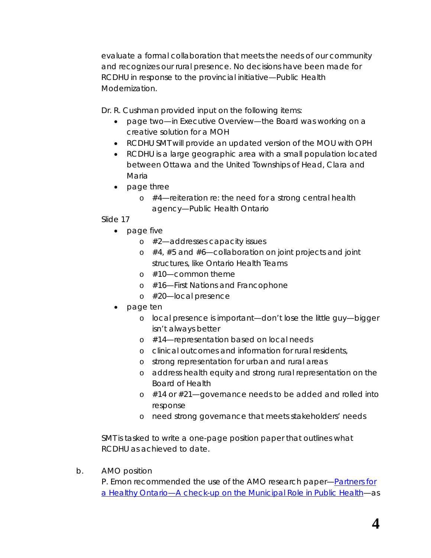evaluate a formal collaboration that meets the needs of our community and recognizes our rural presence. No decisions have been made for RCDHU in response to the provincial initiative—*Public Health Modernization*.

Dr. R. Cushman provided input on the following items:

- page two—in Executive Overview—the Board was working on a creative solution for a MOH
- RCDHU SMT will provide an updated version of the MOU with OPH
- RCDHU is a large geographic area with a small population located between Ottawa and the United Townships of Head, Clara and Maria
- page three
	- $\circ$  #4—reiteration re: the need for a strong central health agency—Public Health Ontario

Slide 17

- page five
	- o #2—addresses capacity issues
	- $\circ$  #4, #5 and #6—collaboration on joint projects and joint structures, like Ontario Health Teams
	- o #10—common theme
	- o #16—First Nations and Francophone
	- o #20—local presence
- page ten
	- o local presence is important—don't lose the little guy—bigger isn't always better
	- o #14—representation based on local needs
	- o clinical outcomes and information for rural residents,
	- o strong representation for urban and rural areas
	- o address health equity and strong rural representation on the Board of Health
	- o #14 or #21—governance needs to be added and rolled into response
	- o need strong governance that meets stakeholders' needs

SMT is tasked to write a one-page position paper that outlines what RCDHU as achieved to date.

b. AMO position

P. Emon recommended the use of the AMO research paper—*[Partners for](https://www.amo.on.ca/AMO-PDFs/Reports/2019/AMO-Partners-for-a-Healthy-Ontario-2019-01-18.aspx)  [a Healthy Ontario—A check-up on the Municipal Role in Public Health](https://www.amo.on.ca/AMO-PDFs/Reports/2019/AMO-Partners-for-a-Healthy-Ontario-2019-01-18.aspx)*—as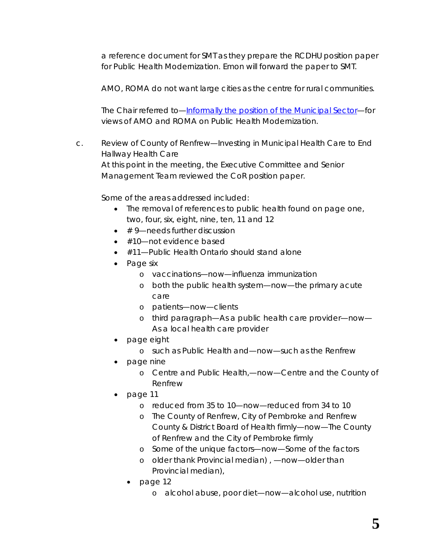a reference document for SMT as they prepare the RCDHU position paper for Public Health Modernization. Emon will forward the paper to SMT.

AMO, ROMA do not want large cities as the centre for rural communities.

The Chair referred to—*[Informally the position of the Municipal Sector](http://portal.rcdhu.com/board/wp-content/uploads/2020/02/AMO-Municipal-Sector-PH-Feb-04-2020.pdf)*—for views of AMO and ROMA on Public Health Modernization.

c. Review of *[County of Renfrew—Investing in Municipal Health Care to End](http://portal.rcdhu.com/board/wp-content/uploads/2020/01/Investing-in-Municipal-Health-Care-to-End-Hallway-Health-Care.pdf)  [Hallway Health Care](http://portal.rcdhu.com/board/wp-content/uploads/2020/01/Investing-in-Municipal-Health-Care-to-End-Hallway-Health-Care.pdf)* At this point in the meeting, the Executive Committee and Senior

Management Team reviewed the CoR position paper.

Some of the areas addressed included:

- The removal of references to public health found on page one, two, four, six, eight, nine, ten, 11 and 12
- # 9—needs further discussion
- #10-not evidence based
- #11—Public Health Ontario should stand alone
- Page six
	- o *vaccinations*—now—influenza immunization
	- o *both the public health system*—now—the primary acute care
	- o *patients*—now—clients
	- o third paragraph—*As a public health care provider*—now— As a local health care provider
- page eight
	- o *such as Public Health and*—now—such as the Renfrew
- page nine
	- o *Centre and Public Health,*—now—Centre and the County of Renfrew
- page 11
	- o *reduced from 35 to 10*—now—reduced from 34 to 10
	- o *The County of Renfrew, City of Pembroke and Renfrew County & District Board of Health firmly*—now—The County of Renfrew and the City of Pembroke firmly
	- o *Some of the unique factors*—now—Some of the factors
	- o *older thank Provincial median) ,* —now—older than Provincial median),
	- page 12
		- o *alcohol abuse, poor diet*—now—alcohol use, nutrition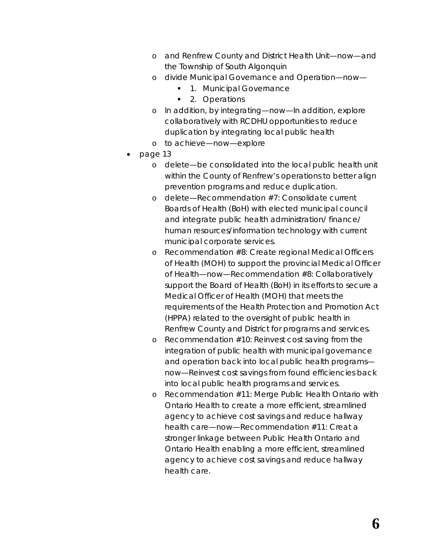- o *and Renfrew County and District Health Unit*—now—and the Township of South Algonquin
- o divide Municipal *Governance and Operation—now—*
	- 1. Municipal Governance
	- 2. Operations
- o *In addition, by integrating*—now—In addition, explore collaboratively with RCDHU opportunities to reduce duplication by integrating local public health
- o *to achieve*—now—explore
- page 13
	- o delete—*be consolidated into the local public health unit within the County of Renfrew's operations to better align prevention programs and reduce duplication*.
	- o delete—*Recommendation #7: Consolidate current Boards of Health (BoH) with elected municipal council and integrate public health administration/ finance/ human resources/information technology with current municipal corporate services*.
	- o *Recommendation #8: Create regional Medical Officers of Health (MOH) to support the provincial Medical Officer of Health*—now—Recommendation #8: Collaboratively support the Board of Health (BoH) in its efforts to secure a Medical Officer of Health (MOH) that meets the requirements of the Health Protection and Promotion Act (HPPA) related to the oversight of public health in Renfrew County and District for programs and services.
	- o *Recommendation #10: Reinvest cost saving from the integration of public health with municipal governance and operation back into local public health programs now—*Reinvest cost savings from found efficiencies back into local public health programs and services.
	- o *Recommendation #11: Merge Public Health Ontario with Ontario Health to create a more efficient, streamlined agency to achieve cost savings and reduce hallway health care—now—*Recommendation #11: Creat a stronger linkage between Public Health Ontario and Ontario Health enabling a more efficient, streamlined agency to achieve cost savings and reduce hallway health care.